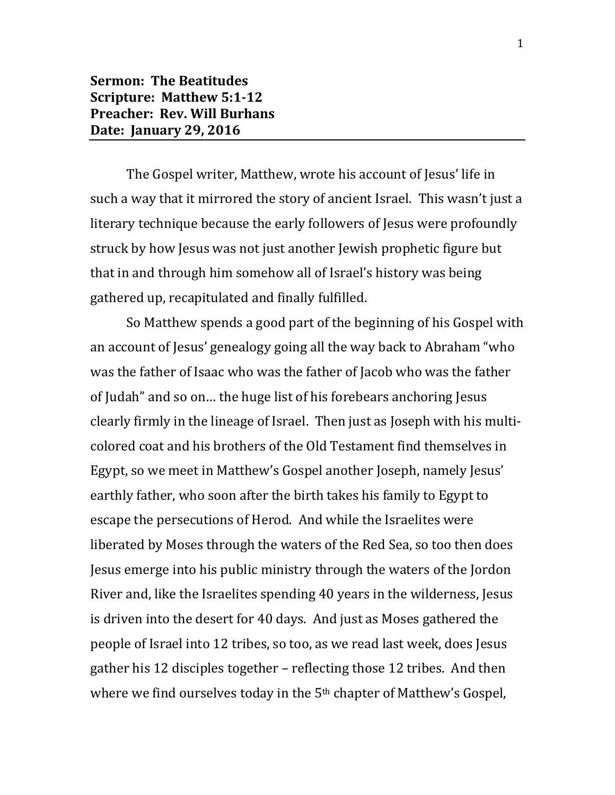## **Sermon: The Beatitudes Scripture: Matthew 5:1-12 Preacher: Rev. Will Burhans Date: January 29, 2016**

The Gospel writer, Matthew, wrote his account of Jesus' life in such a way that it mirrored the story of ancient Israel. This wasn't just a literary technique because the early followers of Jesus were profoundly struck by how Jesus was not just another Jewish prophetic figure but that in and through him somehow all of Israel's history was being gathered up, recapitulated and finally fulfilled.

So Matthew spends a good part of the beginning of his Gospel with an account of Jesus' genealogy going all the way back to Abraham "who was the father of Isaac who was the father of Jacob who was the father of Judah" and so on… the huge list of his forebears anchoring Jesus clearly firmly in the lineage of Israel. Then just as Joseph with his multicolored coat and his brothers of the Old Testament find themselves in Egypt, so we meet in Matthew's Gospel another Joseph, namely Jesus' earthly father, who soon after the birth takes his family to Egypt to escape the persecutions of Herod. And while the Israelites were liberated by Moses through the waters of the Red Sea, so too then does Jesus emerge into his public ministry through the waters of the Jordon River and, like the Israelites spending 40 years in the wilderness, Jesus is driven into the desert for 40 days. And just as Moses gathered the people of Israel into 12 tribes, so too, as we read last week, does Jesus gather his 12 disciples together – reflecting those 12 tribes. And then where we find ourselves today in the 5<sup>th</sup> chapter of Matthew's Gospel,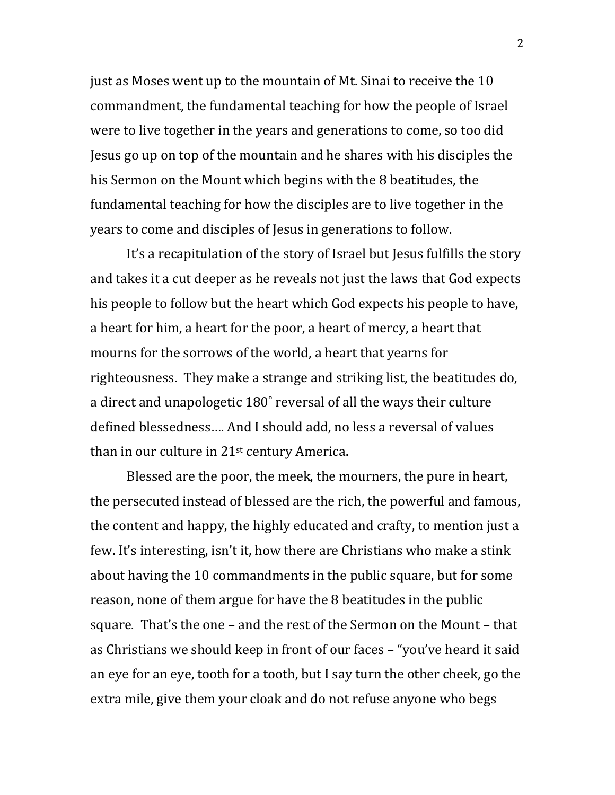just as Moses went up to the mountain of Mt. Sinai to receive the 10 commandment, the fundamental teaching for how the people of Israel were to live together in the years and generations to come, so too did Jesus go up on top of the mountain and he shares with his disciples the his Sermon on the Mount which begins with the 8 beatitudes, the fundamental teaching for how the disciples are to live together in the years to come and disciples of Jesus in generations to follow.

It's a recapitulation of the story of Israel but Jesus fulfills the story and takes it a cut deeper as he reveals not just the laws that God expects his people to follow but the heart which God expects his people to have, a heart for him, a heart for the poor, a heart of mercy, a heart that mourns for the sorrows of the world, a heart that yearns for righteousness. They make a strange and striking list, the beatitudes do, a direct and unapologetic 180˚ reversal of all the ways their culture defined blessedness…. And I should add, no less a reversal of values than in our culture in 21st century America.

Blessed are the poor, the meek, the mourners, the pure in heart, the persecuted instead of blessed are the rich, the powerful and famous, the content and happy, the highly educated and crafty, to mention just a few. It's interesting, isn't it, how there are Christians who make a stink about having the 10 commandments in the public square, but for some reason, none of them argue for have the 8 beatitudes in the public square. That's the one – and the rest of the Sermon on the Mount – that as Christians we should keep in front of our faces – "you've heard it said an eye for an eye, tooth for a tooth, but I say turn the other cheek, go the extra mile, give them your cloak and do not refuse anyone who begs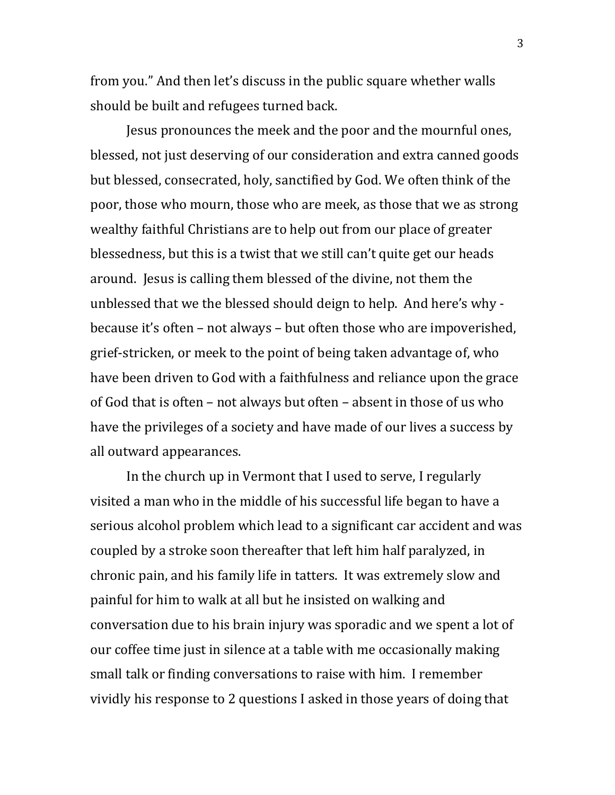from you." And then let's discuss in the public square whether walls should be built and refugees turned back.

Jesus pronounces the meek and the poor and the mournful ones, blessed, not just deserving of our consideration and extra canned goods but blessed, consecrated, holy, sanctified by God. We often think of the poor, those who mourn, those who are meek, as those that we as strong wealthy faithful Christians are to help out from our place of greater blessedness, but this is a twist that we still can't quite get our heads around. Jesus is calling them blessed of the divine, not them the unblessed that we the blessed should deign to help. And here's why because it's often – not always – but often those who are impoverished, grief-stricken, or meek to the point of being taken advantage of, who have been driven to God with a faithfulness and reliance upon the grace of God that is often – not always but often – absent in those of us who have the privileges of a society and have made of our lives a success by all outward appearances.

In the church up in Vermont that I used to serve, I regularly visited a man who in the middle of his successful life began to have a serious alcohol problem which lead to a significant car accident and was coupled by a stroke soon thereafter that left him half paralyzed, in chronic pain, and his family life in tatters. It was extremely slow and painful for him to walk at all but he insisted on walking and conversation due to his brain injury was sporadic and we spent a lot of our coffee time just in silence at a table with me occasionally making small talk or finding conversations to raise with him. I remember vividly his response to 2 questions I asked in those years of doing that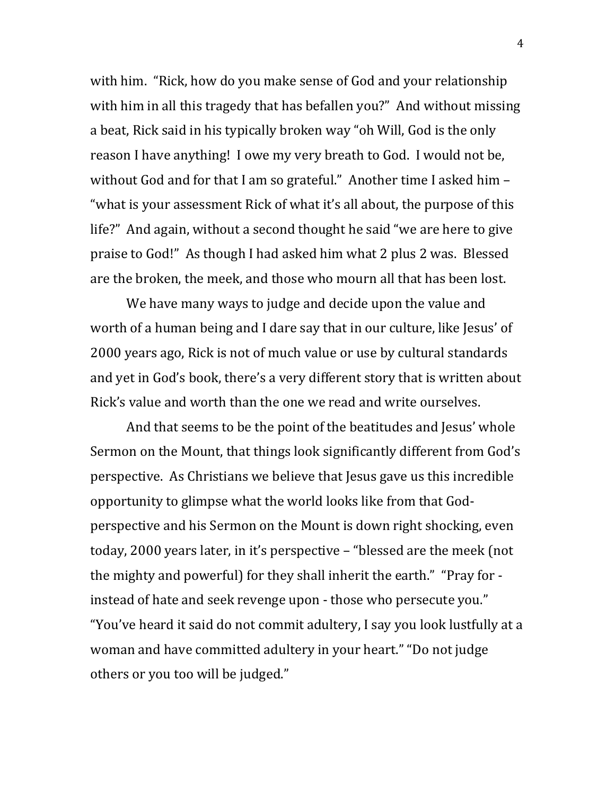with him. "Rick, how do you make sense of God and your relationship with him in all this tragedy that has befallen you?" And without missing a beat, Rick said in his typically broken way "oh Will, God is the only reason I have anything! I owe my very breath to God. I would not be, without God and for that I am so grateful." Another time I asked him -"what is your assessment Rick of what it's all about, the purpose of this life?" And again, without a second thought he said "we are here to give praise to God!" As though I had asked him what 2 plus 2 was. Blessed are the broken, the meek, and those who mourn all that has been lost.

We have many ways to judge and decide upon the value and worth of a human being and I dare say that in our culture, like Jesus' of 2000 years ago, Rick is not of much value or use by cultural standards and yet in God's book, there's a very different story that is written about Rick's value and worth than the one we read and write ourselves.

And that seems to be the point of the beatitudes and Jesus' whole Sermon on the Mount, that things look significantly different from God's perspective. As Christians we believe that Jesus gave us this incredible opportunity to glimpse what the world looks like from that Godperspective and his Sermon on the Mount is down right shocking, even today, 2000 years later, in it's perspective – "blessed are the meek (not the mighty and powerful) for they shall inherit the earth." "Pray for instead of hate and seek revenge upon - those who persecute you." "You've heard it said do not commit adultery, I say you look lustfully at a woman and have committed adultery in your heart." "Do not judge others or you too will be judged."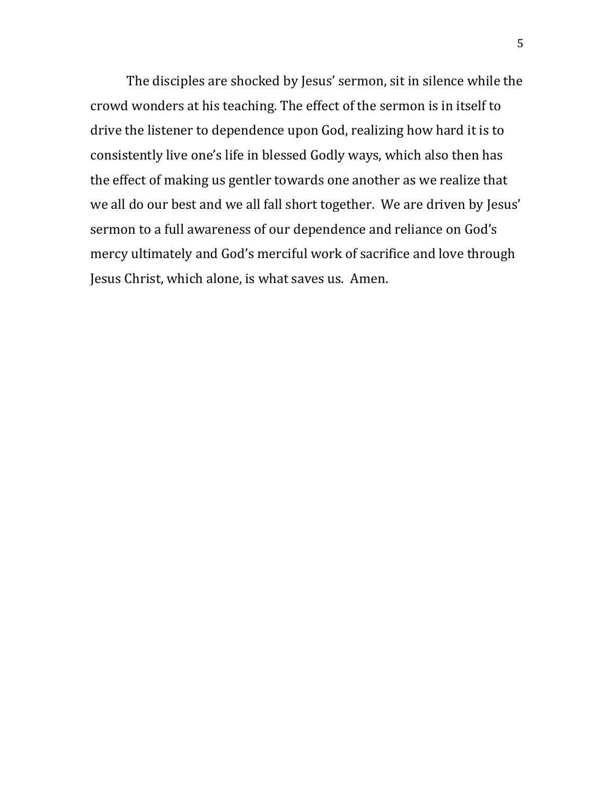The disciples are shocked by Jesus' sermon, sit in silence while the crowd wonders at his teaching. The effect of the sermon is in itself to drive the listener to dependence upon God, realizing how hard it is to consistently live one's life in blessed Godly ways, which also then has the effect of making us gentler towards one another as we realize that we all do our best and we all fall short together. We are driven by Jesus' sermon to a full awareness of our dependence and reliance on God's mercy ultimately and God's merciful work of sacrifice and love through Jesus Christ, which alone, is what saves us. Amen.